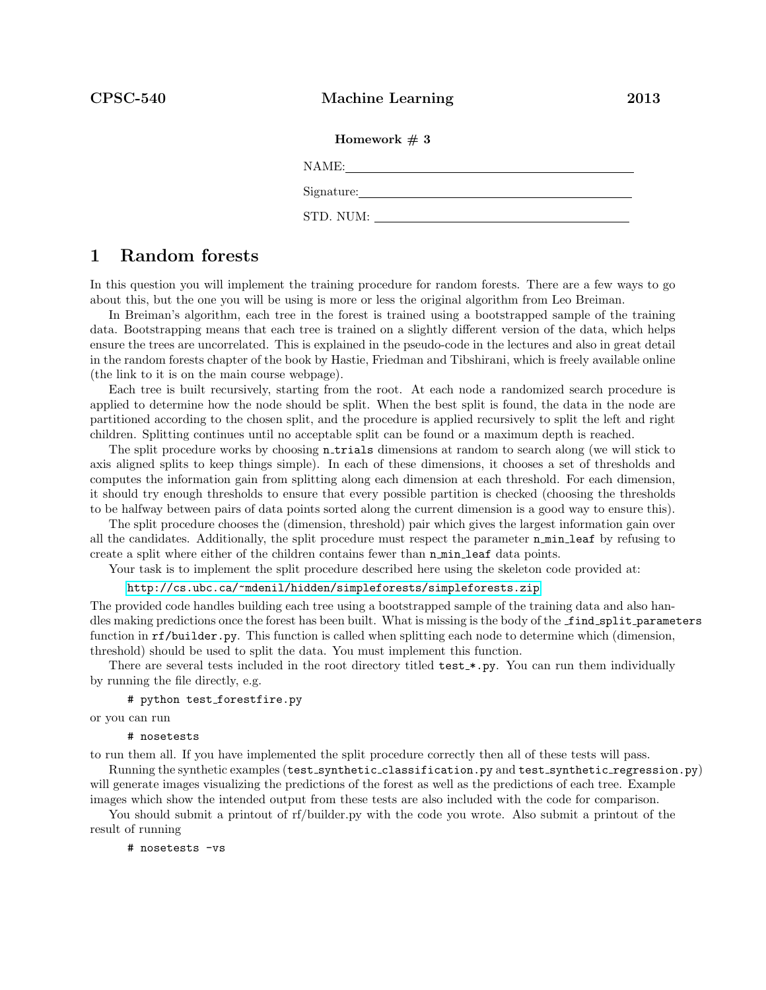### Homework  $# 3$

NAME:

Signature:

STD. NUM:

# 1 Random forests

In this question you will implement the training procedure for random forests. There are a few ways to go about this, but the one you will be using is more or less the original algorithm from Leo Breiman.

In Breiman's algorithm, each tree in the forest is trained using a bootstrapped sample of the training data. Bootstrapping means that each tree is trained on a slightly different version of the data, which helps ensure the trees are uncorrelated. This is explained in the pseudo-code in the lectures and also in great detail in the random forests chapter of the book by Hastie, Friedman and Tibshirani, which is freely available online (the link to it is on the main course webpage).

Each tree is built recursively, starting from the root. At each node a randomized search procedure is applied to determine how the node should be split. When the best split is found, the data in the node are partitioned according to the chosen split, and the procedure is applied recursively to split the left and right children. Splitting continues until no acceptable split can be found or a maximum depth is reached.

The split procedure works by choosing **n\_trials** dimensions at random to search along (we will stick to axis aligned splits to keep things simple). In each of these dimensions, it chooses a set of thresholds and computes the information gain from splitting along each dimension at each threshold. For each dimension, it should try enough thresholds to ensure that every possible partition is checked (choosing the thresholds to be halfway between pairs of data points sorted along the current dimension is a good way to ensure this).

The split procedure chooses the (dimension, threshold) pair which gives the largest information gain over all the candidates. Additionally, the split procedure must respect the parameter  $n$  min leaf by refusing to create a split where either of the children contains fewer than n min leaf data points.

Your task is to implement the split procedure described here using the skeleton code provided at:

#### <http://cs.ubc.ca/~mdenil/hidden/simpleforests/simpleforests.zip>

The provided code handles building each tree using a bootstrapped sample of the training data and also handles making predictions once the forest has been built. What is missing is the body of the **find split parameters** function in rf/builder.py. This function is called when splitting each node to determine which (dimension, threshold) should be used to split the data. You must implement this function.

There are several tests included in the root directory titled test \*.py. You can run them individually by running the file directly, e.g.

```
# python test_forestfire.py
```
or you can run

```
# nosetests
```
to run them all. If you have implemented the split procedure correctly then all of these tests will pass.

Running the synthetic examples (test\_synthetic\_classification.py and test\_synthetic\_regression.py) will generate images visualizing the predictions of the forest as well as the predictions of each tree. Example images which show the intended output from these tests are also included with the code for comparison.

You should submit a printout of rf/builder.py with the code you wrote. Also submit a printout of the result of running

# nosetests -vs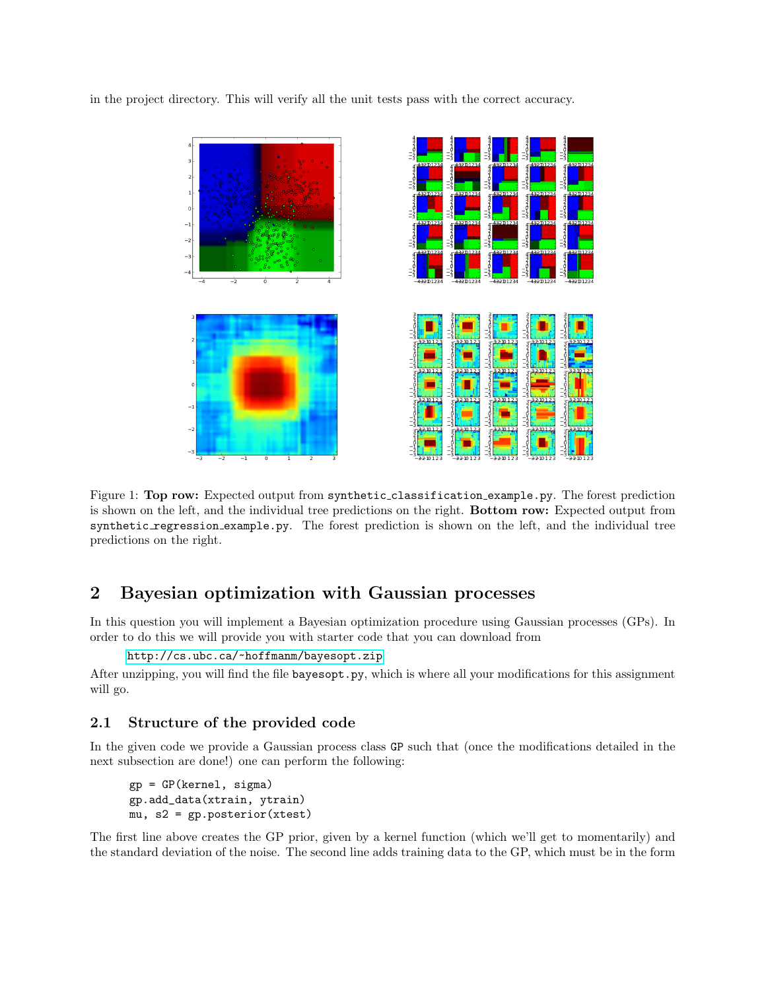in the project directory. This will verify all the unit tests pass with the correct accuracy.



Figure 1: Top row: Expected output from synthetic classification example.py. The forest prediction is shown on the left, and the individual tree predictions on the right. Bottom row: Expected output from synthetic regression example.py. The forest prediction is shown on the left, and the individual tree predictions on the right.

# 2 Bayesian optimization with Gaussian processes

In this question you will implement a Bayesian optimization procedure using Gaussian processes (GPs). In order to do this we will provide you with starter code that you can download from

```
http://cs.ubc.ca/~hoffmanm/bayesopt.zip
```
After unzipping, you will find the file bayesopt.py, which is where all your modifications for this assignment will go.

## 2.1 Structure of the provided code

In the given code we provide a Gaussian process class GP such that (once the modifications detailed in the next subsection are done!) one can perform the following:

```
gp = GP(kernel, sigma)
gp.add_data(xtrain, ytrain)
mu, s2 = gp.posterior(xtest)
```
The first line above creates the GP prior, given by a kernel function (which we'll get to momentarily) and the standard deviation of the noise. The second line adds training data to the GP, which must be in the form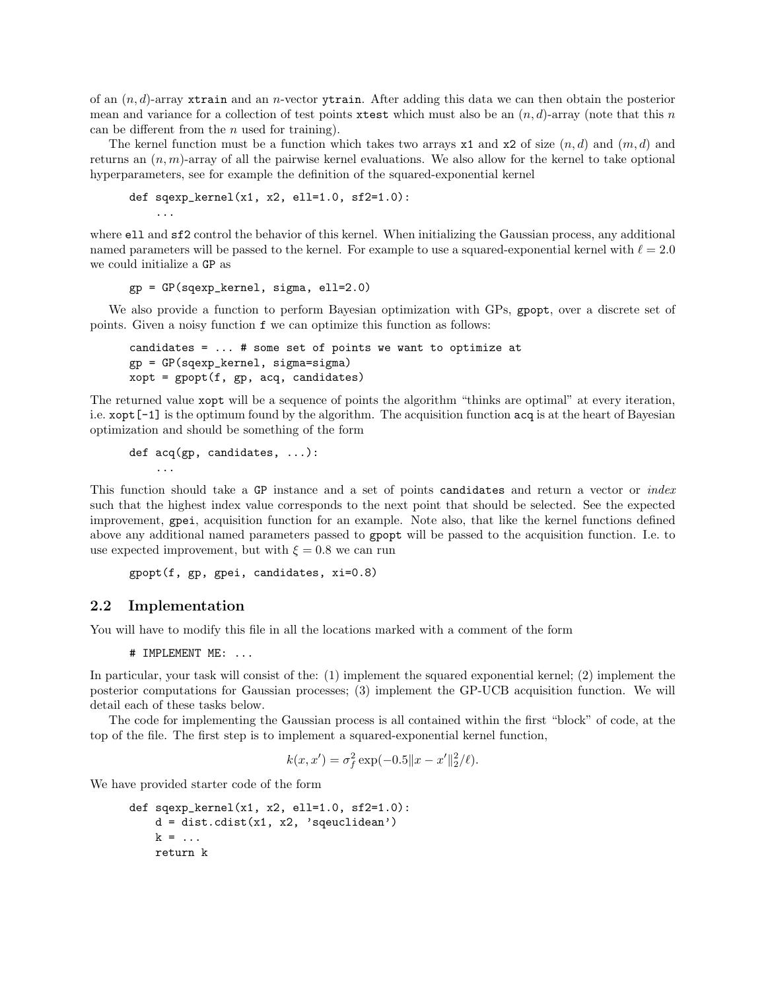of an  $(n, d)$ -array xtrain and an *n*-vector vtrain. After adding this data we can then obtain the posterior mean and variance for a collection of test points xtest which must also be an  $(n, d)$ -array (note that this n can be different from the  $n$  used for training).

The kernel function must be a function which takes two arrays  $x1$  and  $x2$  of size  $(n, d)$  and  $(m, d)$  and returns an  $(n, m)$ -array of all the pairwise kernel evaluations. We also allow for the kernel to take optional hyperparameters, see for example the definition of the squared-exponential kernel

```
def sqexp_{\text{[}kerrne1(x1, x2, e11=1.0, s12=1.0):}
```
where ell and sf2 control the behavior of this kernel. When initializing the Gaussian process, any additional named parameters will be passed to the kernel. For example to use a squared-exponential kernel with  $\ell = 2.0$ we could initialize a GP as

```
gp = GP(sqexp_kernel, sigma, ell=2.0)
```
We also provide a function to perform Bayesian optimization with GPs, gpopt, over a discrete set of points. Given a noisy function f we can optimize this function as follows:

```
candidates = ... # some set of points we want to optimize at
gp = GP(sqexp_kernel, sigma=sigma)
xopt = gport(f, gp, acq, candidates)
```
The returned value xopt will be a sequence of points the algorithm "thinks are optimal" at every iteration, i.e. xopt[-1] is the optimum found by the algorithm. The acquisition function acq is at the heart of Bayesian optimization and should be something of the form

```
def acq(gp, candidates, ...):
    ...
```
This function should take a GP instance and a set of points candidates and return a vector or *index* such that the highest index value corresponds to the next point that should be selected. See the expected improvement, gpei, acquisition function for an example. Note also, that like the kernel functions defined above any additional named parameters passed to gpopt will be passed to the acquisition function. I.e. to use expected improvement, but with  $\xi = 0.8$  we can run

```
gpopt(f, gp, gpei, candidates, xi=0.8)
```
### 2.2 Implementation

...

You will have to modify this file in all the locations marked with a comment of the form

# IMPLEMENT ME: ...

In particular, your task will consist of the: (1) implement the squared exponential kernel; (2) implement the posterior computations for Gaussian processes; (3) implement the GP-UCB acquisition function. We will detail each of these tasks below.

The code for implementing the Gaussian process is all contained within the first "block" of code, at the top of the file. The first step is to implement a squared-exponential kernel function,

$$
k(x, x') = \sigma_f^2 \exp(-0.5||x - x'||_2^2/\ell).
$$

We have provided starter code of the form

```
def sqexp_kernel(x1, x2, ell=1.0, sf2=1.0):
    d = dist.cdist(x1, x2, 'squeclidean')k = \ldotsreturn k
```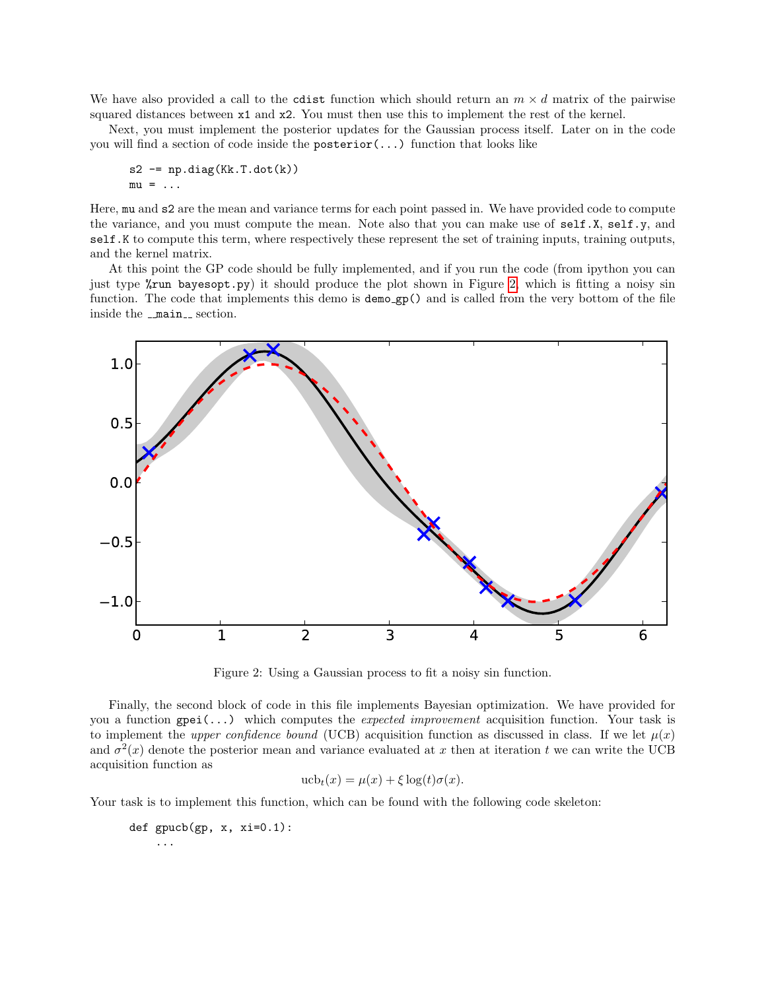We have also provided a call to the cdist function which should return an  $m \times d$  matrix of the pairwise squared distances between x1 and x2. You must then use this to implement the rest of the kernel.

Next, you must implement the posterior updates for the Gaussian process itself. Later on in the code you will find a section of code inside the posterior(...) function that looks like

$$
s2 = np.datag(Kk.T.dot(k))
$$
  

$$
mu = ...
$$

Here, mu and s2 are the mean and variance terms for each point passed in. We have provided code to compute the variance, and you must compute the mean. Note also that you can make use of self.X, self.y, and self.K to compute this term, where respectively these represent the set of training inputs, training outputs, and the kernel matrix.

At this point the GP code should be fully implemented, and if you run the code (from ipython you can just type %run bayesopt.py) it should produce the plot shown in Figure [2,](#page-3-0) which is fitting a noisy sin function. The code that implements this demo is demo\_gp() and is called from the very bottom of the file inside the  $\text{main}_\text{--}$  section.



<span id="page-3-0"></span>Figure 2: Using a Gaussian process to fit a noisy sin function.

Finally, the second block of code in this file implements Bayesian optimization. We have provided for you a function  $\text{gpei}(\ldots)$  which computes the *expected improvement* acquisition function. Your task is to implement the upper confidence bound (UCB) acquisition function as discussed in class. If we let  $\mu(x)$ and  $\sigma^2(x)$  denote the posterior mean and variance evaluated at x then at iteration t we can write the UCB acquisition function as

$$
\operatorname{ucb}_t(x) = \mu(x) + \xi \log(t)\sigma(x).
$$

Your task is to implement this function, which can be found with the following code skeleton:

def  $gpucb(gp, x, xi=0.1)$ : ...